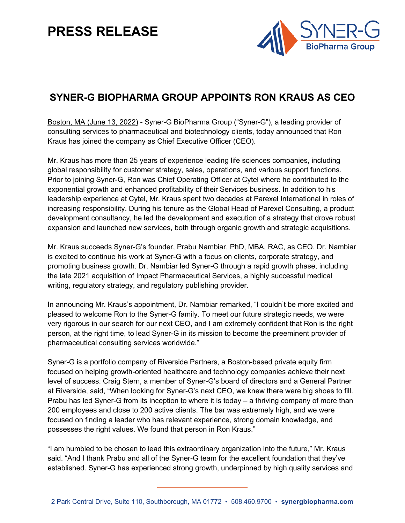# **PRESS RELEASE**



### **SYNER-G BIOPHARMA GROUP APPOINTS RON KRAUS AS CEO**

Boston, MA (June 13, 2022) - Syner-G BioPharma Group ("Syner-G"), a leading provider of consulting services to pharmaceutical and biotechnology clients, today announced that Ron Kraus has joined the company as Chief Executive Officer (CEO).

Mr. Kraus has more than 25 years of experience leading life sciences companies, including global responsibility for customer strategy, sales, operations, and various support functions. Prior to joining Syner-G, Ron was Chief Operating Officer at Cytel where he contributed to the exponential growth and enhanced profitability of their Services business. In addition to his leadership experience at Cytel, Mr. Kraus spent two decades at Parexel International in roles of increasing responsibility. During his tenure as the Global Head of Parexel Consulting, a product development consultancy, he led the development and execution of a strategy that drove robust expansion and launched new services, both through organic growth and strategic acquisitions.

Mr. Kraus succeeds Syner-G's founder, Prabu Nambiar, PhD, MBA, RAC, as CEO. Dr. Nambiar is excited to continue his work at Syner-G with a focus on clients, corporate strategy, and promoting business growth. Dr. Nambiar led Syner-G through a rapid growth phase, including the late 2021 acquisition of Impact Pharmaceutical Services, a highly successful medical writing, regulatory strategy, and regulatory publishing provider.

In announcing Mr. Kraus's appointment, Dr. Nambiar remarked, "I couldn't be more excited and pleased to welcome Ron to the Syner-G family. To meet our future strategic needs, we were very rigorous in our search for our next CEO, and I am extremely confident that Ron is the right person, at the right time, to lead Syner-G in its mission to become the preeminent provider of pharmaceutical consulting services worldwide."

Syner-G is a portfolio company of Riverside Partners, a Boston-based private equity firm focused on helping growth-oriented healthcare and technology companies achieve their next level of success. Craig Stern, a member of Syner-G's board of directors and a General Partner at Riverside, said, "When looking for Syner-G's next CEO, we knew there were big shoes to fill. Prabu has led Syner-G from its inception to where it is today – a thriving company of more than 200 employees and close to 200 active clients. The bar was extremely high, and we were focused on finding a leader who has relevant experience, strong domain knowledge, and possesses the right values. We found that person in Ron Kraus."

"I am humbled to be chosen to lead this extraordinary organization into the future," Mr. Kraus said. "And I thank Prabu and all of the Syner-G team for the excellent foundation that they've established. Syner-G has experienced strong growth, underpinned by high quality services and